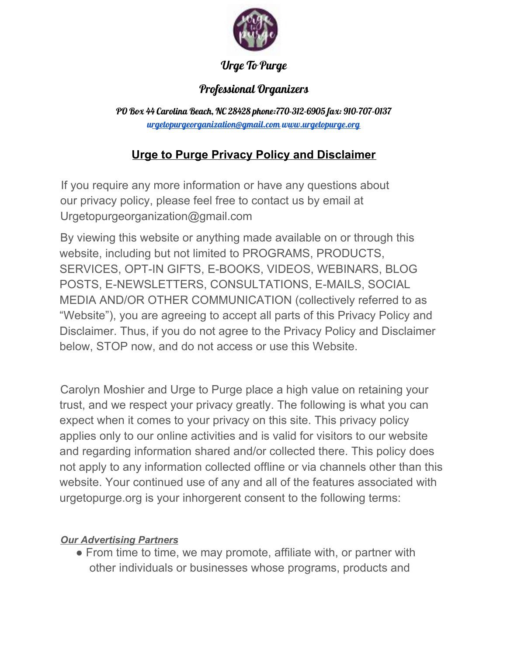

### Urge To Purge

## Professional Organizers

PO Box 44 Carolina Beach, NC 28428 phone:770-312-6905 fax: 910-707-0137 urgetopurgeorganization@gmail.com www.urgetopurge.org

# **Urge to Purge Privacy Policy and Disclaimer**

If you require any more information or have any questions about our privacy policy, please feel free to contact us by email at Urgetopurgeorganization@gmail.com

By viewing this website or anything made available on or through this website, including but not limited to PROGRAMS, PRODUCTS, SERVICES, OPT-IN GIFTS, E-BOOKS, VIDEOS, WEBINARS, BLOG POSTS, E-NEWSLETTERS, CONSULTATIONS, E-MAILS, SOCIAL MEDIA AND/OR OTHER COMMUNICATION (collectively referred to as "Website"), you are agreeing to accept all parts of this Privacy Policy and Disclaimer. Thus, if you do not agree to the Privacy Policy and Disclaimer below, STOP now, and do not access or use this Website.

Carolyn Moshier and Urge to Purge place a high value on retaining your trust, and we respect your privacy greatly. The following is what you can expect when it comes to your privacy on this site. This privacy policy applies only to our online activities and is valid for visitors to our website and regarding information shared and/or collected there. This policy does not apply to any information collected offline or via channels other than this website. Your continued use of any and all of the features associated with urgetopurge.org is your inhorgerent consent to the following terms:

## *Our Advertising Partners*

• From time to time, we may promote, affiliate with, or partner with other individuals or businesses whose programs, products and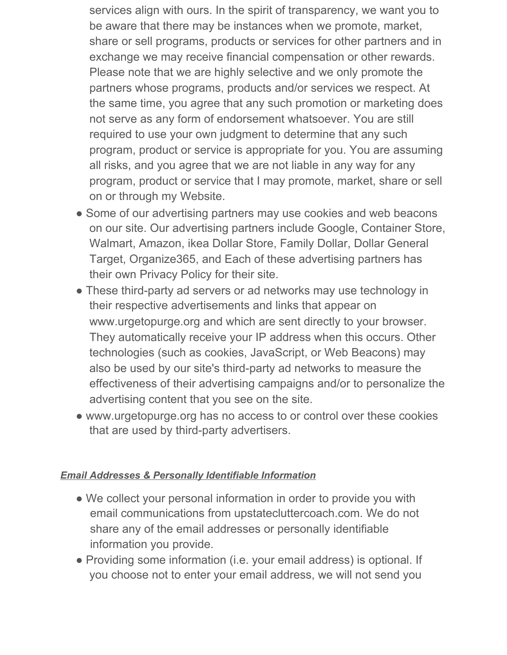- services align with ours. In the spirit of transparency, we want you to be aware that there may be instances when we promote, market, share or sell programs, products or services for other partners and in exchange we may receive financial compensation or other rewards. Please note that we are highly selective and we only promote the partners whose programs, products and/or services we respect. At the same time, you agree that any such promotion or marketing does not serve as any form of endorsement whatsoever. You are still required to use your own judgment to determine that any such program, product or service is appropriate for you. You are assuming all risks, and you agree that we are not liable in any way for any program, product or service that I may promote, market, share or sell on or through my Website.
- Some of our advertising partners may use cookies and web beacons on our site. Our advertising partners include Google, Container Store, Walmart, Amazon, ikea Dollar Store, Family Dollar, Dollar General Target, Organize365, and Each of these advertising partners has their own Privacy Policy for their site.
- These third-party ad servers or ad networks may use technology in their respective advertisements and links that appear on www.urgetopurge.org and which are sent directly to your browser. They automatically receive your IP address when this occurs. Other technologies (such as cookies, JavaScript, or Web Beacons) may also be used by our site's third-party ad networks to measure the effectiveness of their advertising campaigns and/or to personalize the advertising content that you see on the site.
- www.urgetopurge.org has no access to or control over these cookies that are used by third-party advertisers.

## *Email Addresses & Personally Identifiable Information*

- We collect your personal information in order to provide you with email communications from upstatecluttercoach.com. We do not share any of the email addresses or personally identifiable information you provide.
- Providing some information (i.e. your email address) is optional. If you choose not to enter your email address, we will not send you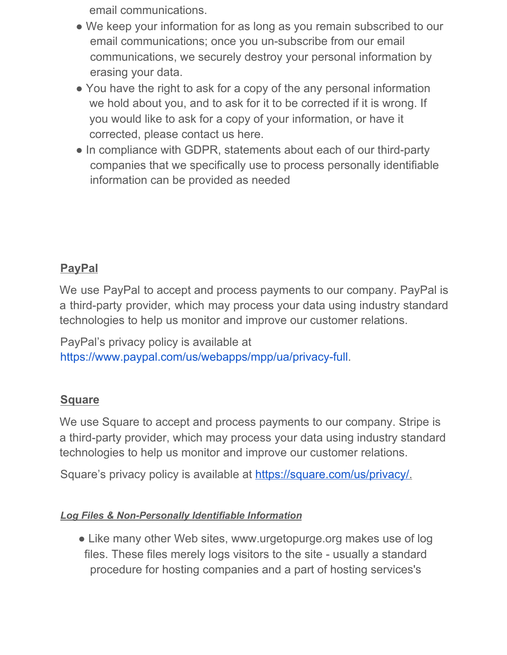email communications.

- We keep your information for as long as you remain subscribed to our email communications; once you un-subscribe from our email communications, we securely destroy your personal information by erasing your data.
- You have the right to ask for a copy of the any personal information we hold about you, and to ask for it to be corrected if it is wrong. If you would like to ask for a copy of your information, or have it corrected, please contact us here.
- In compliance with GDPR, statements about each of our third-party companies that we specifically use to process personally identifiable information can be provided as needed

# **PayPal**

We use PayPal to accept and process payments to our company. PayPal is a third-party provider, which may process your data using industry standard technologies to help us monitor and improve our customer relations.

PayPal's privacy policy is available at https://www.paypal.com/us/webapps/mpp/ua/privacy-full.

# **Square**

We use Square to accept and process payments to our company. Stripe is a third-party provider, which may process your data using industry standard technologies to help us monitor and improve our customer relations.

Square's privacy policy is available at https://square.com/us/privacy/.

## *Log Files & Non-Personally Identifiable Information*

• Like many other Web sites, www.urgetopurge.org makes use of log files. These files merely logs visitors to the site - usually a standard procedure for hosting companies and a part of hosting services's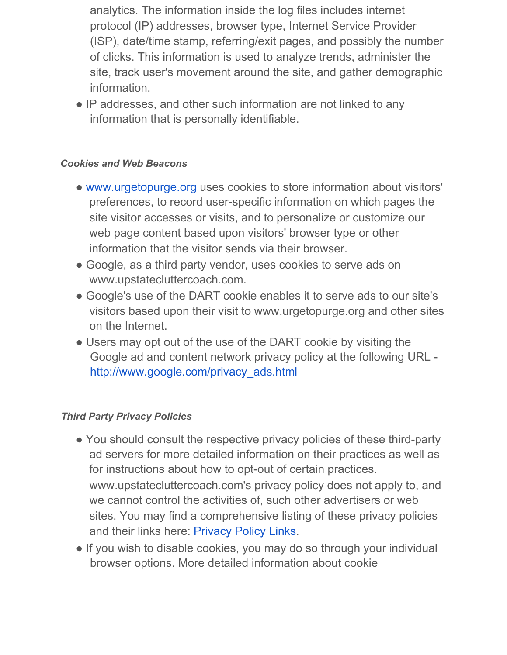analytics. The information inside the log files includes internet protocol (IP) addresses, browser type, Internet Service Provider (ISP), date/time stamp, referring/exit pages, and possibly the number of clicks. This information is used to analyze trends, administer the site, track user's movement around the site, and gather demographic information.

• IP addresses, and other such information are not linked to any information that is personally identifiable.

### *Cookies and Web Beacons*

- www.urgetopurge.org uses cookies to store information about visitors' preferences, to record user-specific information on which pages the site visitor accesses or visits, and to personalize or customize our web page content based upon visitors' browser type or other information that the visitor sends via their browser.
- Google, as a third party vendor, uses cookies to serve ads on www.upstatecluttercoach.com.
- Google's use of the DART cookie enables it to serve ads to our site's visitors based upon their visit to www.urgetopurge.org and other sites on the Internet.
- Users may opt out of the use of the DART cookie by visiting the Google ad and content network privacy policy at the following URL http://www.google.com/privacy\_ads.html

#### *Third Party Privacy Policies*

- You should consult the respective privacy policies of these third-party ad servers for more detailed information on their practices as well as for instructions about how to opt-out of certain practices. www.upstatecluttercoach.com's privacy policy does not apply to, and we cannot control the activities of, such other advertisers or web sites. You may find a comprehensive listing of these privacy policies and their links here: Privacy Policy Links.
- If you wish to disable cookies, you may do so through your individual browser options. More detailed information about cookie